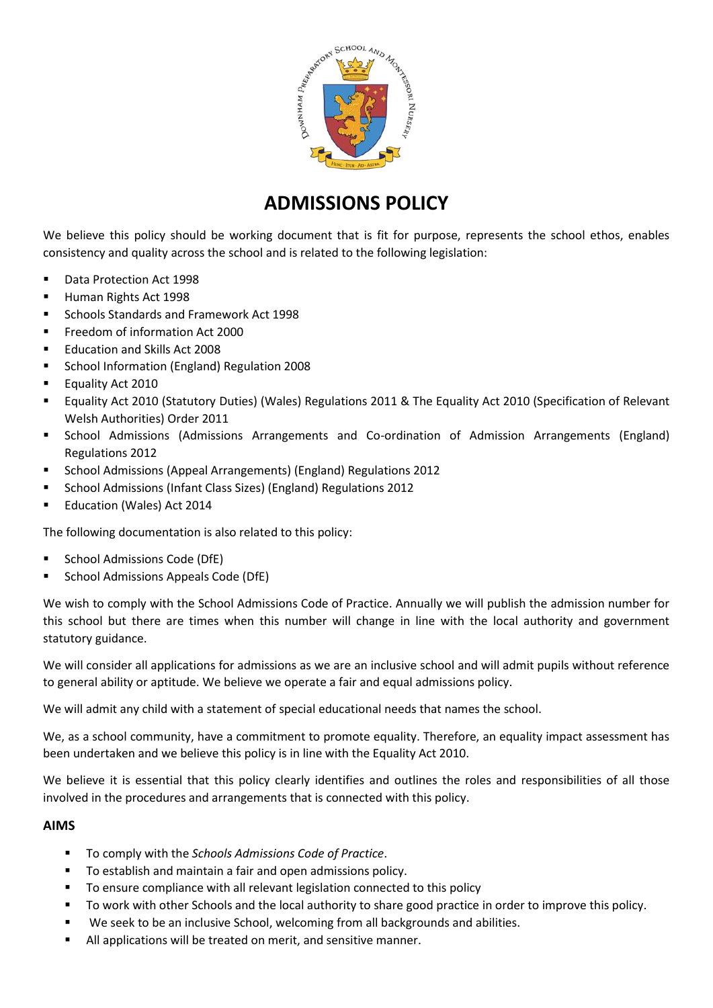

# **ADMISSIONS POLICY**

We believe this policy should be working document that is fit for purpose, represents the school ethos, enables consistency and quality across the school and is related to the following legislation:

- Data Protection Act 1998
- Human Rights Act 1998
- Schools Standards and Framework Act 1998
- Freedom of information Act 2000
- Education and Skills Act 2008
- School Information (England) Regulation 2008
- Equality Act 2010
- Equality Act 2010 (Statutory Duties) (Wales) Regulations 2011 & The Equality Act 2010 (Specification of Relevant Welsh Authorities) Order 2011
- School Admissions (Admissions Arrangements and Co-ordination of Admission Arrangements (England) Regulations 2012
- School Admissions (Appeal Arrangements) (England) Regulations 2012
- School Admissions (Infant Class Sizes) (England) Regulations 2012
- Education (Wales) Act 2014

The following documentation is also related to this policy:

- School Admissions Code (DfE)
- School Admissions Appeals Code (DfE)

We wish to comply with the School Admissions Code of Practice. Annually we will publish the admission number for this school but there are times when this number will change in line with the local authority and government statutory guidance.

We will consider all applications for admissions as we are an inclusive school and will admit pupils without reference to general ability or aptitude. We believe we operate a fair and equal admissions policy.

We will admit any child with a statement of special educational needs that names the school.

We, as a school community, have a commitment to promote equality. Therefore, an equality impact assessment has been undertaken and we believe this policy is in line with the Equality Act 2010.

We believe it is essential that this policy clearly identifies and outlines the roles and responsibilities of all those involved in the procedures and arrangements that is connected with this policy.

## **AIMS**

- To comply with the *Schools Admissions Code of Practice*.
- To establish and maintain a fair and open admissions policy.
- To ensure compliance with all relevant legislation connected to this policy
- To work with other Schools and the local authority to share good practice in order to improve this policy.
- We seek to be an inclusive School, welcoming from all backgrounds and abilities.
- All applications will be treated on merit, and sensitive manner.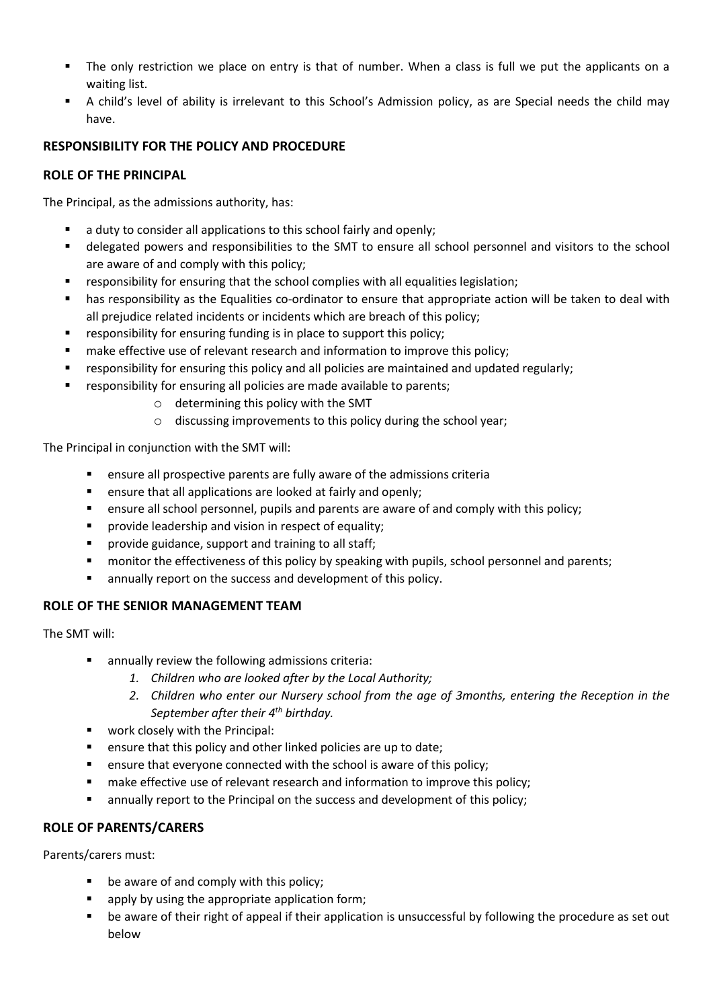- The only restriction we place on entry is that of number. When a class is full we put the applicants on a waiting list.
- A child's level of ability is irrelevant to this School's Admission policy, as are Special needs the child may have.

# **RESPONSIBILITY FOR THE POLICY AND PROCEDURE**

# **ROLE OF THE PRINCIPAL**

The Principal, as the admissions authority, has:

- a duty to consider all applications to this school fairly and openly;
- delegated powers and responsibilities to the SMT to ensure all school personnel and visitors to the school are aware of and comply with this policy;
- responsibility for ensuring that the school complies with all equalities legislation;
- has responsibility as the Equalities co-ordinator to ensure that appropriate action will be taken to deal with all prejudice related incidents or incidents which are breach of this policy;
- **■** responsibility for ensuring funding is in place to support this policy;
- make effective use of relevant research and information to improve this policy;
- responsibility for ensuring this policy and all policies are maintained and updated regularly;
- **E** responsibility for ensuring all policies are made available to parents;
	- o determining this policy with the SMT
	- o discussing improvements to this policy during the school year;

The Principal in conjunction with the SMT will:

- ensure all prospective parents are fully aware of the admissions criteria
- ensure that all applications are looked at fairly and openly;
- ensure all school personnel, pupils and parents are aware of and comply with this policy;
- **•** provide leadership and vision in respect of equality;
- provide guidance, support and training to all staff;
- **■** monitor the effectiveness of this policy by speaking with pupils, school personnel and parents;
- annually report on the success and development of this policy.

# **ROLE OF THE SENIOR MANAGEMENT TEAM**

The SMT will:

- annually review the following admissions criteria:
	- *1. Children who are looked after by the Local Authority;*
	- *2. Children who enter our Nursery school from the age of 3months, entering the Reception in the September after their 4th birthday.*
- work closely with the Principal:
- ensure that this policy and other linked policies are up to date;
- ensure that everyone connected with the school is aware of this policy;
- make effective use of relevant research and information to improve this policy;
- annually report to the Principal on the success and development of this policy;

# **ROLE OF PARENTS/CARERS**

Parents/carers must:

- be aware of and comply with this policy;
- apply by using the appropriate application form;
- be aware of their right of appeal if their application is unsuccessful by following the procedure as set out below